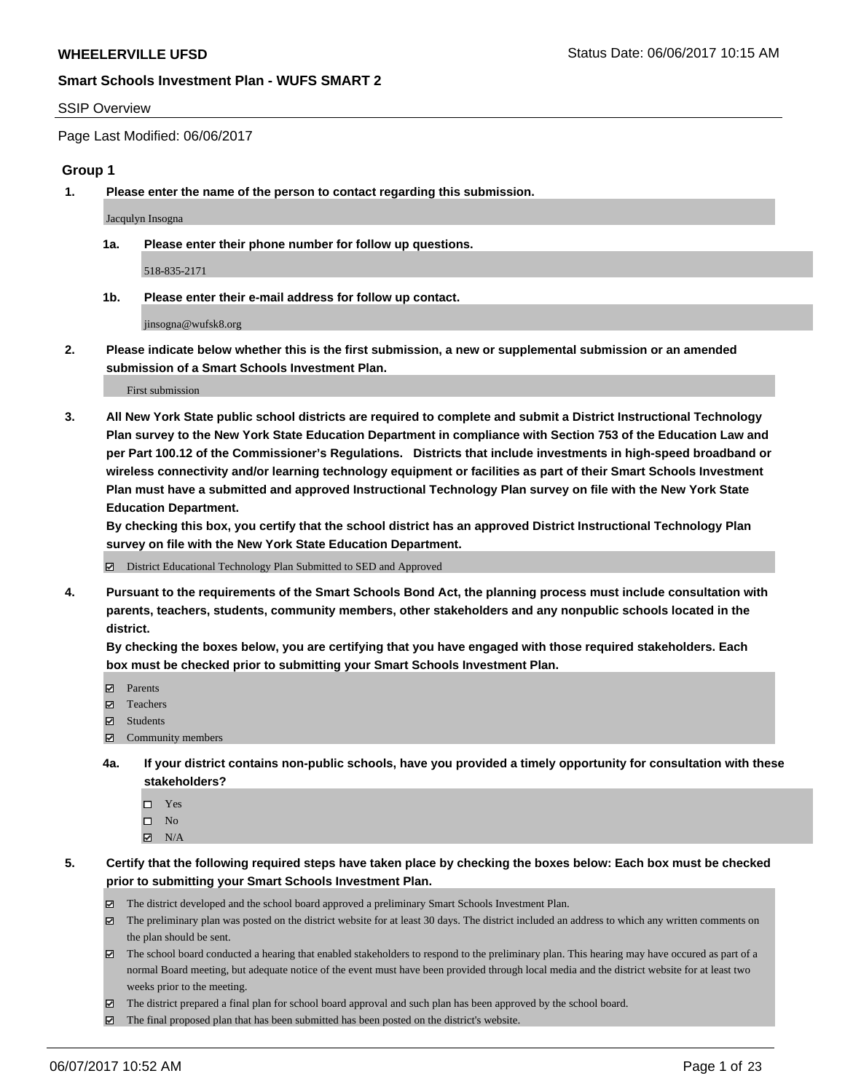#### SSIP Overview

Page Last Modified: 06/06/2017

### **Group 1**

**1. Please enter the name of the person to contact regarding this submission.**

Jacqulyn Insogna

**1a. Please enter their phone number for follow up questions.**

518-835-2171

**1b. Please enter their e-mail address for follow up contact.**

jinsogna@wufsk8.org

**2. Please indicate below whether this is the first submission, a new or supplemental submission or an amended submission of a Smart Schools Investment Plan.**

First submission

**3. All New York State public school districts are required to complete and submit a District Instructional Technology Plan survey to the New York State Education Department in compliance with Section 753 of the Education Law and per Part 100.12 of the Commissioner's Regulations. Districts that include investments in high-speed broadband or wireless connectivity and/or learning technology equipment or facilities as part of their Smart Schools Investment Plan must have a submitted and approved Instructional Technology Plan survey on file with the New York State Education Department.** 

**By checking this box, you certify that the school district has an approved District Instructional Technology Plan survey on file with the New York State Education Department.**

District Educational Technology Plan Submitted to SED and Approved

**4. Pursuant to the requirements of the Smart Schools Bond Act, the planning process must include consultation with parents, teachers, students, community members, other stakeholders and any nonpublic schools located in the district.** 

**By checking the boxes below, you are certifying that you have engaged with those required stakeholders. Each box must be checked prior to submitting your Smart Schools Investment Plan.**

- **マ** Parents
- □ Teachers
- Students
- $\Xi$  Community members
- **4a. If your district contains non-public schools, have you provided a timely opportunity for consultation with these stakeholders?**
	- Yes
	- $\hfill \square$  No
	- $\boxtimes$  N/A
- **5. Certify that the following required steps have taken place by checking the boxes below: Each box must be checked prior to submitting your Smart Schools Investment Plan.**
	- The district developed and the school board approved a preliminary Smart Schools Investment Plan.
	- $\boxtimes$  The preliminary plan was posted on the district website for at least 30 days. The district included an address to which any written comments on the plan should be sent.
	- $\boxtimes$  The school board conducted a hearing that enabled stakeholders to respond to the preliminary plan. This hearing may have occured as part of a normal Board meeting, but adequate notice of the event must have been provided through local media and the district website for at least two weeks prior to the meeting.
	- The district prepared a final plan for school board approval and such plan has been approved by the school board.
	- $\boxtimes$  The final proposed plan that has been submitted has been posted on the district's website.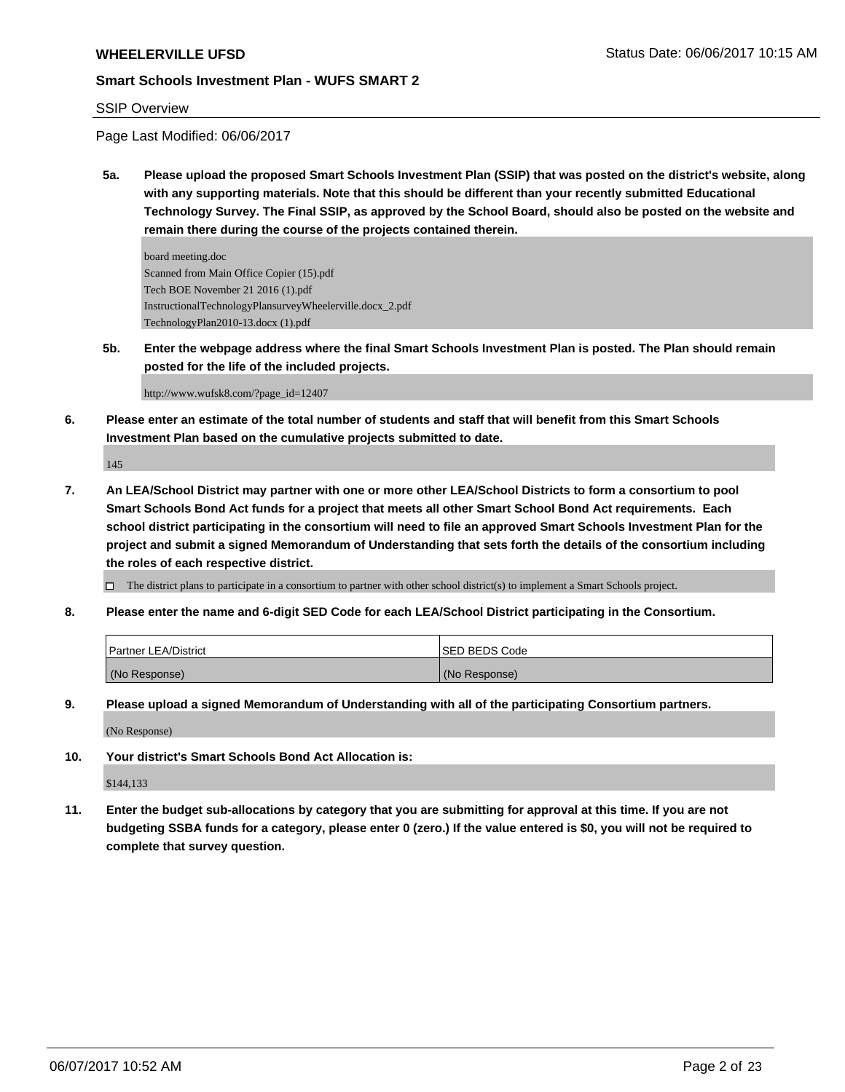### SSIP Overview

Page Last Modified: 06/06/2017

**5a. Please upload the proposed Smart Schools Investment Plan (SSIP) that was posted on the district's website, along with any supporting materials. Note that this should be different than your recently submitted Educational Technology Survey. The Final SSIP, as approved by the School Board, should also be posted on the website and remain there during the course of the projects contained therein.**

board meeting.doc Scanned from Main Office Copier (15).pdf Tech BOE November 21 2016 (1).pdf InstructionalTechnologyPlansurveyWheelerville.docx\_2.pdf TechnologyPlan2010-13.docx (1).pdf

**5b. Enter the webpage address where the final Smart Schools Investment Plan is posted. The Plan should remain posted for the life of the included projects.**

http://www.wufsk8.com/?page\_id=12407

**6. Please enter an estimate of the total number of students and staff that will benefit from this Smart Schools Investment Plan based on the cumulative projects submitted to date.**

145

**7. An LEA/School District may partner with one or more other LEA/School Districts to form a consortium to pool Smart Schools Bond Act funds for a project that meets all other Smart School Bond Act requirements. Each school district participating in the consortium will need to file an approved Smart Schools Investment Plan for the project and submit a signed Memorandum of Understanding that sets forth the details of the consortium including the roles of each respective district.**

 $\Box$  The district plans to participate in a consortium to partner with other school district(s) to implement a Smart Schools project.

**8. Please enter the name and 6-digit SED Code for each LEA/School District participating in the Consortium.**

| <b>Partner LEA/District</b> | ISED BEDS Code |
|-----------------------------|----------------|
| (No Response)               | (No Response)  |

**9. Please upload a signed Memorandum of Understanding with all of the participating Consortium partners.**

(No Response)

**10. Your district's Smart Schools Bond Act Allocation is:**

\$144,133

**11. Enter the budget sub-allocations by category that you are submitting for approval at this time. If you are not budgeting SSBA funds for a category, please enter 0 (zero.) If the value entered is \$0, you will not be required to complete that survey question.**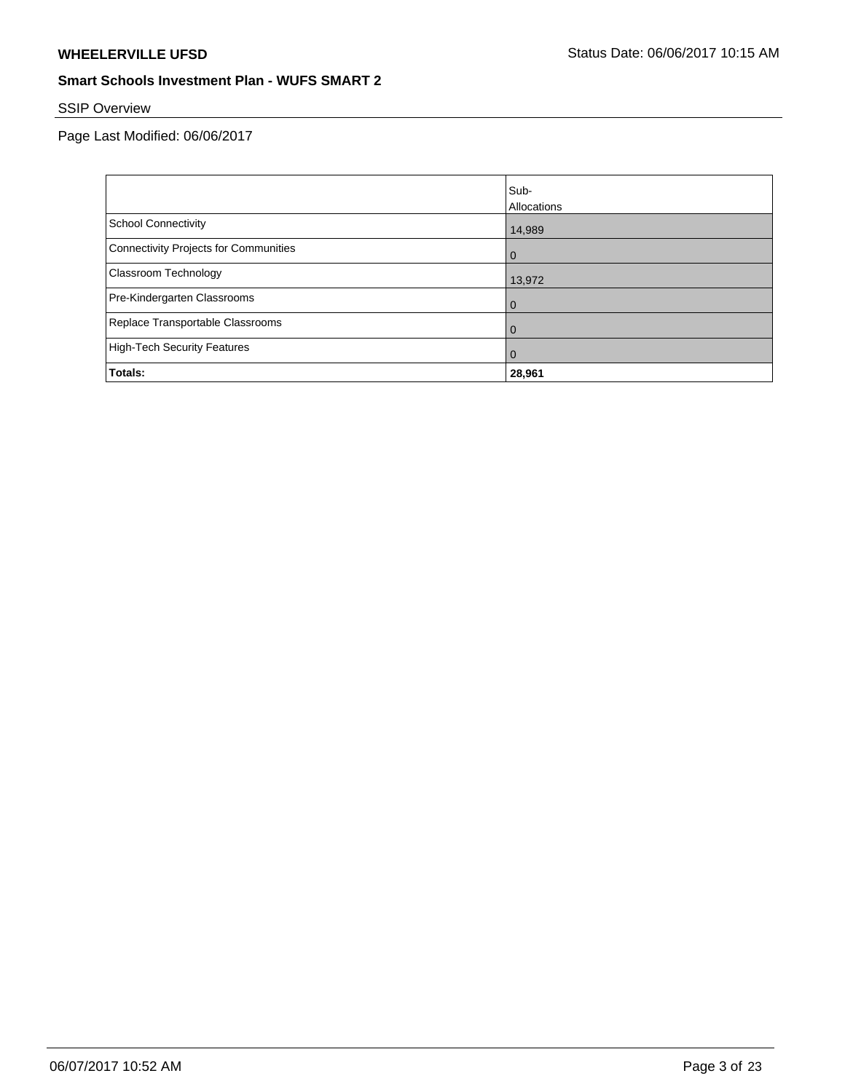# SSIP Overview

|                                       | Sub-           |
|---------------------------------------|----------------|
|                                       | Allocations    |
| <b>School Connectivity</b>            | 14,989         |
| Connectivity Projects for Communities | $\Omega$       |
| <b>Classroom Technology</b>           | 13,972         |
| Pre-Kindergarten Classrooms           | $\overline{0}$ |
| Replace Transportable Classrooms      | $\overline{0}$ |
| High-Tech Security Features           | $\Omega$       |
| Totals:                               | 28,961         |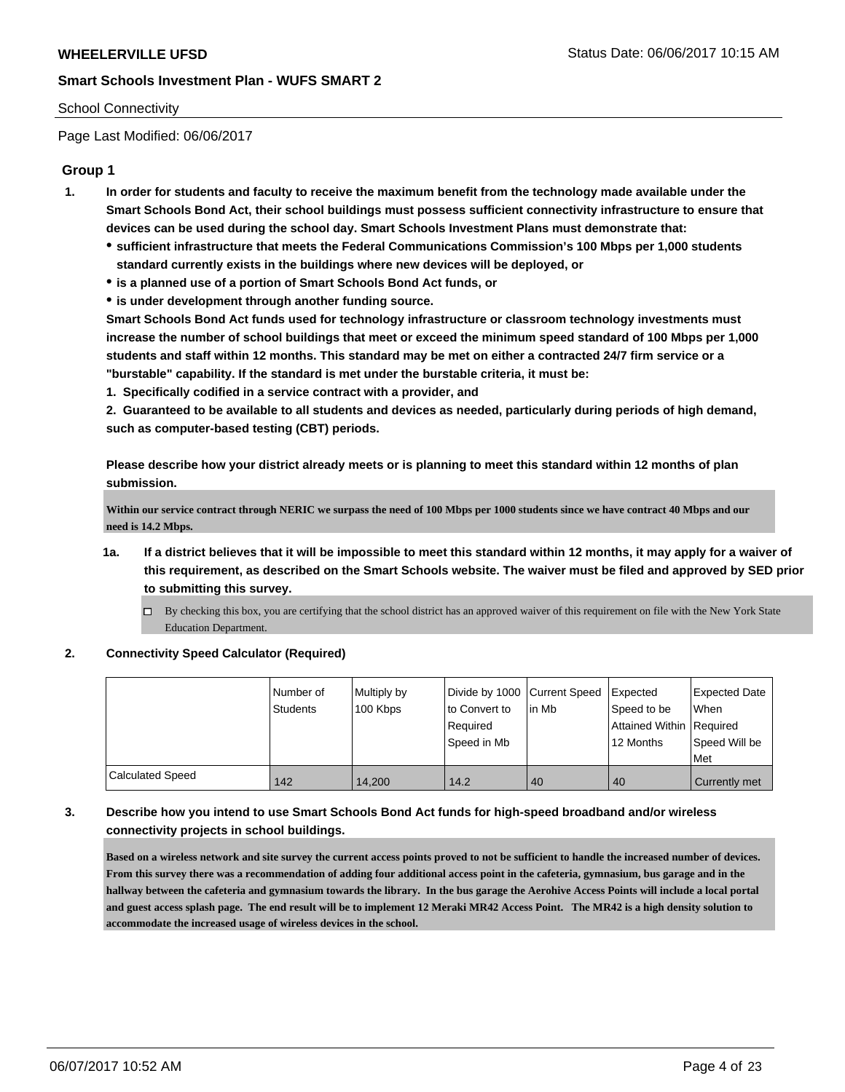#### School Connectivity

Page Last Modified: 06/06/2017

### **Group 1**

- **1. In order for students and faculty to receive the maximum benefit from the technology made available under the Smart Schools Bond Act, their school buildings must possess sufficient connectivity infrastructure to ensure that devices can be used during the school day. Smart Schools Investment Plans must demonstrate that:**
	- **sufficient infrastructure that meets the Federal Communications Commission's 100 Mbps per 1,000 students standard currently exists in the buildings where new devices will be deployed, or**
	- **is a planned use of a portion of Smart Schools Bond Act funds, or**
	- **is under development through another funding source.**

**Smart Schools Bond Act funds used for technology infrastructure or classroom technology investments must increase the number of school buildings that meet or exceed the minimum speed standard of 100 Mbps per 1,000 students and staff within 12 months. This standard may be met on either a contracted 24/7 firm service or a "burstable" capability. If the standard is met under the burstable criteria, it must be:**

**1. Specifically codified in a service contract with a provider, and**

**2. Guaranteed to be available to all students and devices as needed, particularly during periods of high demand, such as computer-based testing (CBT) periods.**

**Please describe how your district already meets or is planning to meet this standard within 12 months of plan submission.**

**Within our service contract through NERIC we surpass the need of 100 Mbps per 1000 students since we have contract 40 Mbps and our need is 14.2 Mbps.** 

- **1a. If a district believes that it will be impossible to meet this standard within 12 months, it may apply for a waiver of this requirement, as described on the Smart Schools website. The waiver must be filed and approved by SED prior to submitting this survey.**
	- $\Box$  By checking this box, you are certifying that the school district has an approved waiver of this requirement on file with the New York State Education Department.

#### **2. Connectivity Speed Calculator (Required)**

|                         | l Number of<br>Students | Multiply by<br>100 Kbps | Divide by 1000 Current Speed<br>to Convert to<br>Reauired<br>Speed in Mb | in Mb | Expected<br>Speed to be<br>Attained Within   Required<br>12 Months | <b>Expected Date</b><br><b>When</b><br>Speed Will be<br>Met |
|-------------------------|-------------------------|-------------------------|--------------------------------------------------------------------------|-------|--------------------------------------------------------------------|-------------------------------------------------------------|
| <b>Calculated Speed</b> | 142                     | 14,200                  | 14.2                                                                     | 40    | 40                                                                 | Currently met                                               |

### **3. Describe how you intend to use Smart Schools Bond Act funds for high-speed broadband and/or wireless connectivity projects in school buildings.**

**Based on a wireless network and site survey the current access points proved to not be sufficient to handle the increased number of devices. From this survey there was a recommendation of adding four additional access point in the cafeteria, gymnasium, bus garage and in the hallway between the cafeteria and gymnasium towards the library. In the bus garage the Aerohive Access Points will include a local portal and guest access splash page. The end result will be to implement 12 Meraki MR42 Access Point. The MR42 is a high density solution to accommodate the increased usage of wireless devices in the school.**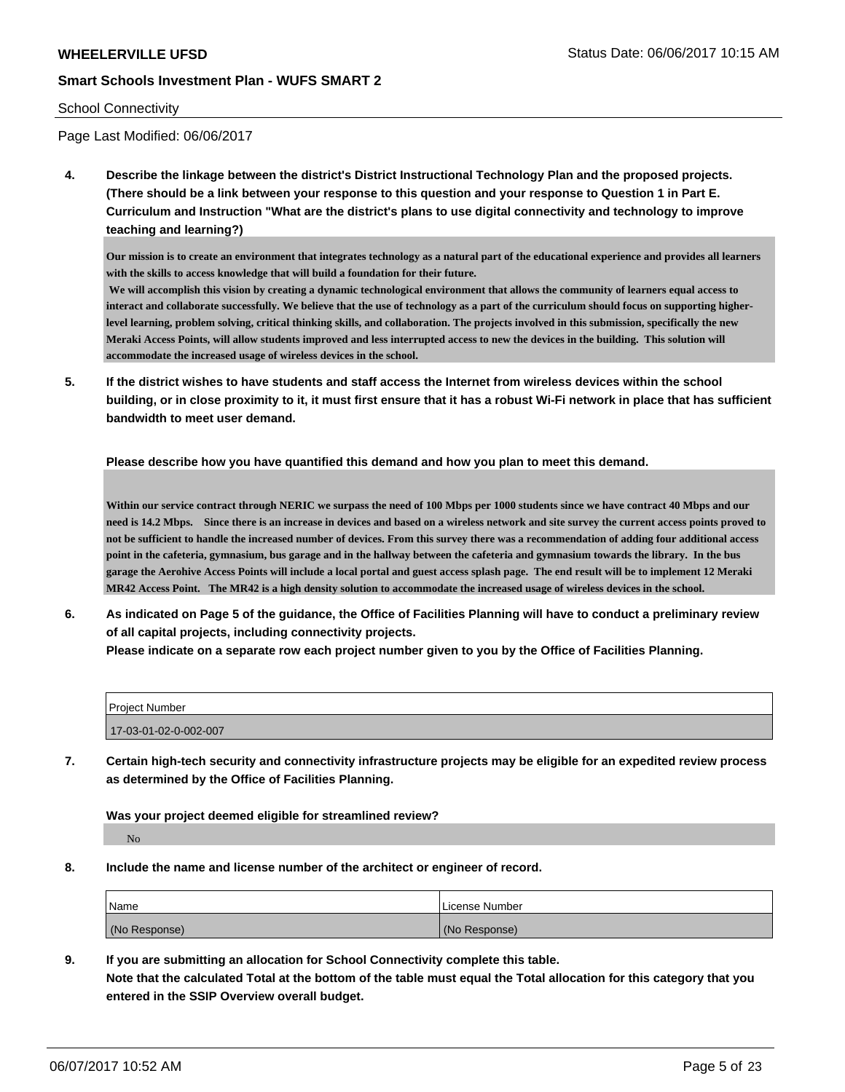#### School Connectivity

Page Last Modified: 06/06/2017

**4. Describe the linkage between the district's District Instructional Technology Plan and the proposed projects. (There should be a link between your response to this question and your response to Question 1 in Part E. Curriculum and Instruction "What are the district's plans to use digital connectivity and technology to improve teaching and learning?)**

**Our mission is to create an environment that integrates technology as a natural part of the educational experience and provides all learners with the skills to access knowledge that will build a foundation for their future.**

**We will accomplish this vision by creating a dynamic technological environment that allows the community of learners equal access to interact and collaborate successfully. We believe that the use of technology as a part of the curriculum should focus on supporting higherlevel learning, problem solving, critical thinking skills, and collaboration. The projects involved in this submission, specifically the new Meraki Access Points, will allow students improved and less interrupted access to new the devices in the building. This solution will accommodate the increased usage of wireless devices in the school.**

**5. If the district wishes to have students and staff access the Internet from wireless devices within the school building, or in close proximity to it, it must first ensure that it has a robust Wi-Fi network in place that has sufficient bandwidth to meet user demand.**

**Please describe how you have quantified this demand and how you plan to meet this demand.**

**Within our service contract through NERIC we surpass the need of 100 Mbps per 1000 students since we have contract 40 Mbps and our need is 14.2 Mbps. Since there is an increase in devices and based on a wireless network and site survey the current access points proved to not be sufficient to handle the increased number of devices. From this survey there was a recommendation of adding four additional access point in the cafeteria, gymnasium, bus garage and in the hallway between the cafeteria and gymnasium towards the library. In the bus garage the Aerohive Access Points will include a local portal and guest access splash page. The end result will be to implement 12 Meraki MR42 Access Point. The MR42 is a high density solution to accommodate the increased usage of wireless devices in the school.**

**6. As indicated on Page 5 of the guidance, the Office of Facilities Planning will have to conduct a preliminary review of all capital projects, including connectivity projects.**

**Please indicate on a separate row each project number given to you by the Office of Facilities Planning.**

| <b>Project Number</b> |  |
|-----------------------|--|
| 17-03-01-02-0-002-007 |  |

**7. Certain high-tech security and connectivity infrastructure projects may be eligible for an expedited review process as determined by the Office of Facilities Planning.**

**Was your project deemed eligible for streamlined review?**

No

**8. Include the name and license number of the architect or engineer of record.**

| Name          | License Number |
|---------------|----------------|
| (No Response) | (No Response)  |

**9. If you are submitting an allocation for School Connectivity complete this table. Note that the calculated Total at the bottom of the table must equal the Total allocation for this category that you entered in the SSIP Overview overall budget.**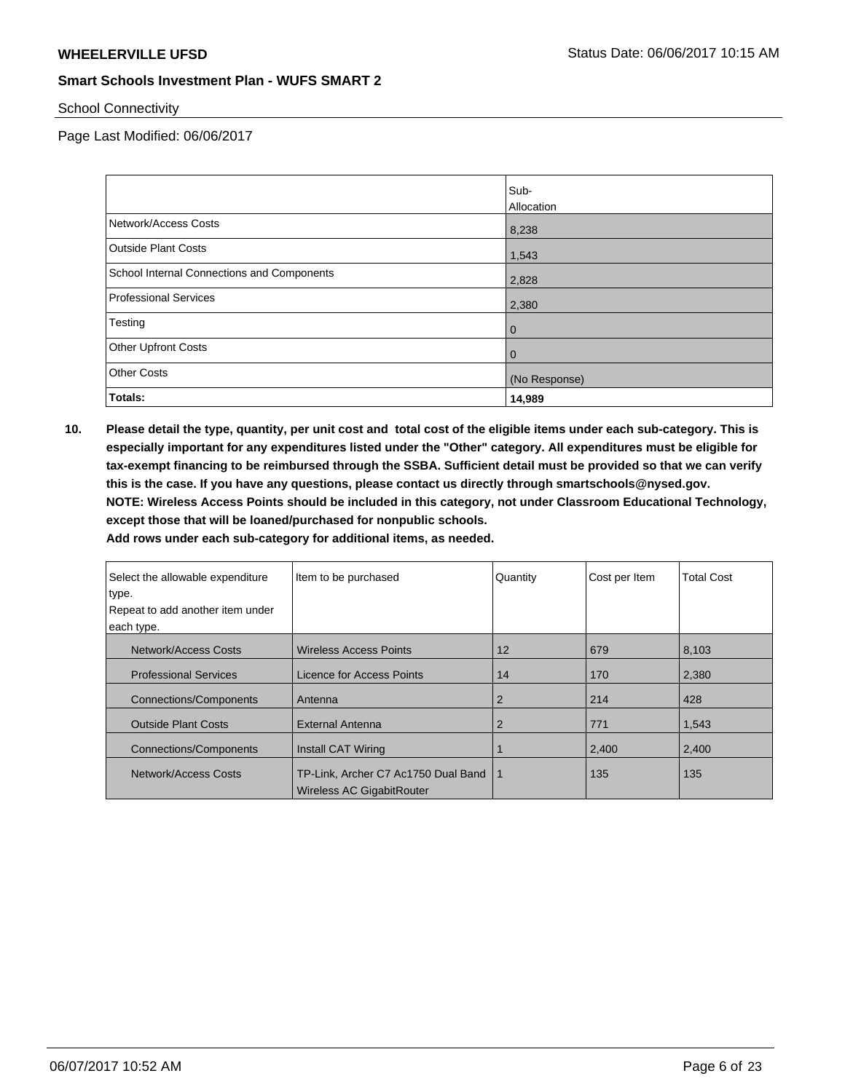School Connectivity

Page Last Modified: 06/06/2017

|                                            | Sub-           |
|--------------------------------------------|----------------|
|                                            | Allocation     |
| Network/Access Costs                       | 8,238          |
| <b>Outside Plant Costs</b>                 | 1,543          |
| School Internal Connections and Components | 2,828          |
| <b>Professional Services</b>               | 2,380          |
| Testing                                    | $\overline{0}$ |
| <b>Other Upfront Costs</b>                 | $\overline{0}$ |
| <b>Other Costs</b>                         | (No Response)  |
| <b>Totals:</b>                             | 14,989         |

**10. Please detail the type, quantity, per unit cost and total cost of the eligible items under each sub-category. This is especially important for any expenditures listed under the "Other" category. All expenditures must be eligible for tax-exempt financing to be reimbursed through the SSBA. Sufficient detail must be provided so that we can verify this is the case. If you have any questions, please contact us directly through smartschools@nysed.gov. NOTE: Wireless Access Points should be included in this category, not under Classroom Educational Technology, except those that will be loaned/purchased for nonpublic schools.**

| Select the allowable expenditure<br>type. | Item to be purchased                                             | Quantity | Cost per Item | <b>Total Cost</b> |
|-------------------------------------------|------------------------------------------------------------------|----------|---------------|-------------------|
| Repeat to add another item under          |                                                                  |          |               |                   |
| each type.                                |                                                                  |          |               |                   |
| Network/Access Costs                      | <b>Wireless Access Points</b>                                    | 12       | 679           | 8,103             |
| <b>Professional Services</b>              | Licence for Access Points                                        | 14       | 170           | 2,380             |
| <b>Connections/Components</b>             | Antenna                                                          | 2        | 214           | 428               |
| <b>Outside Plant Costs</b>                | External Antenna                                                 | 2        | 771           | 1,543             |
| <b>Connections/Components</b>             | <b>Install CAT Wiring</b>                                        |          | 2,400         | 2,400             |
| Network/Access Costs                      | TP-Link, Archer C7 Ac1750 Dual Band<br>Wireless AC GigabitRouter | -1       | 135           | 135               |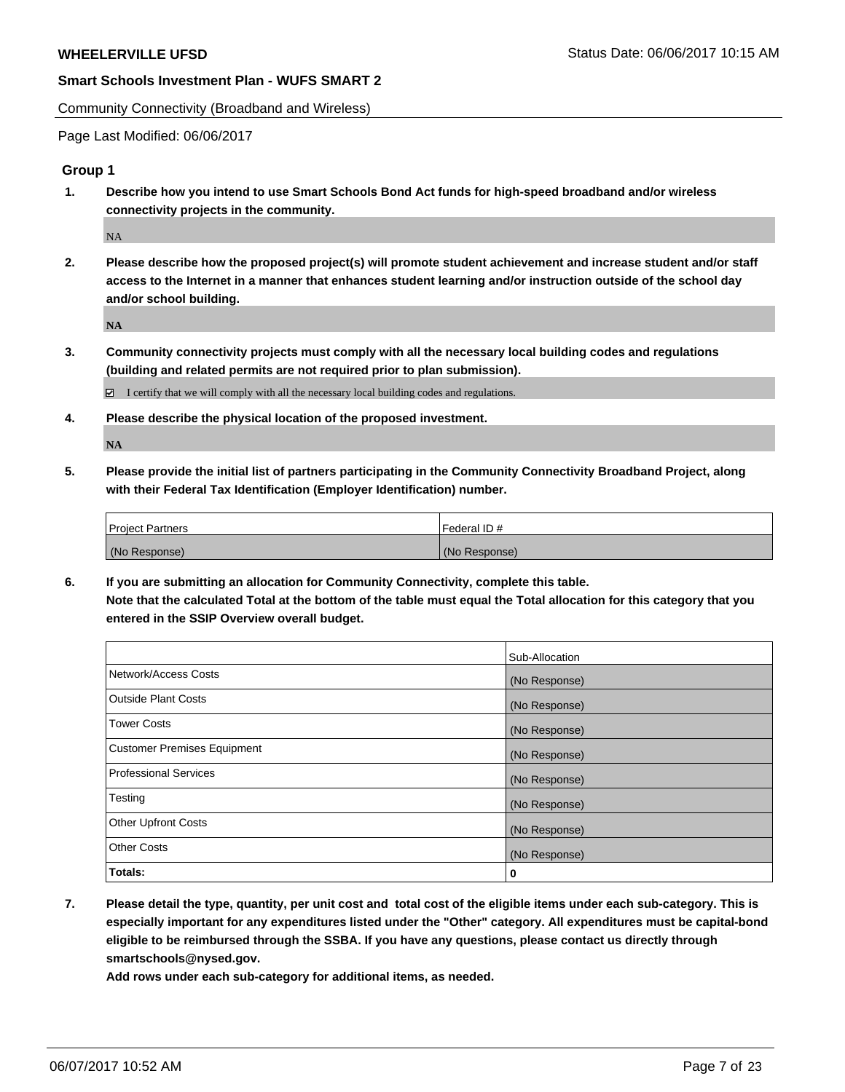Community Connectivity (Broadband and Wireless)

Page Last Modified: 06/06/2017

### **Group 1**

**1. Describe how you intend to use Smart Schools Bond Act funds for high-speed broadband and/or wireless connectivity projects in the community.**

NA

**2. Please describe how the proposed project(s) will promote student achievement and increase student and/or staff access to the Internet in a manner that enhances student learning and/or instruction outside of the school day and/or school building.**

**NA**

**3. Community connectivity projects must comply with all the necessary local building codes and regulations (building and related permits are not required prior to plan submission).**

 $\boxtimes$  I certify that we will comply with all the necessary local building codes and regulations.

**4. Please describe the physical location of the proposed investment.**

**NA**

**5. Please provide the initial list of partners participating in the Community Connectivity Broadband Project, along with their Federal Tax Identification (Employer Identification) number.**

| <b>Project Partners</b> | l Federal ID # |
|-------------------------|----------------|
| (No Response)           | (No Response)  |

**6. If you are submitting an allocation for Community Connectivity, complete this table. Note that the calculated Total at the bottom of the table must equal the Total allocation for this category that you entered in the SSIP Overview overall budget.**

|                                    | Sub-Allocation |
|------------------------------------|----------------|
| Network/Access Costs               | (No Response)  |
| Outside Plant Costs                | (No Response)  |
| Tower Costs                        | (No Response)  |
| <b>Customer Premises Equipment</b> | (No Response)  |
| <b>Professional Services</b>       | (No Response)  |
| Testing                            | (No Response)  |
| <b>Other Upfront Costs</b>         | (No Response)  |
| <b>Other Costs</b>                 | (No Response)  |
| Totals:                            | 0              |

**7. Please detail the type, quantity, per unit cost and total cost of the eligible items under each sub-category. This is especially important for any expenditures listed under the "Other" category. All expenditures must be capital-bond eligible to be reimbursed through the SSBA. If you have any questions, please contact us directly through smartschools@nysed.gov.**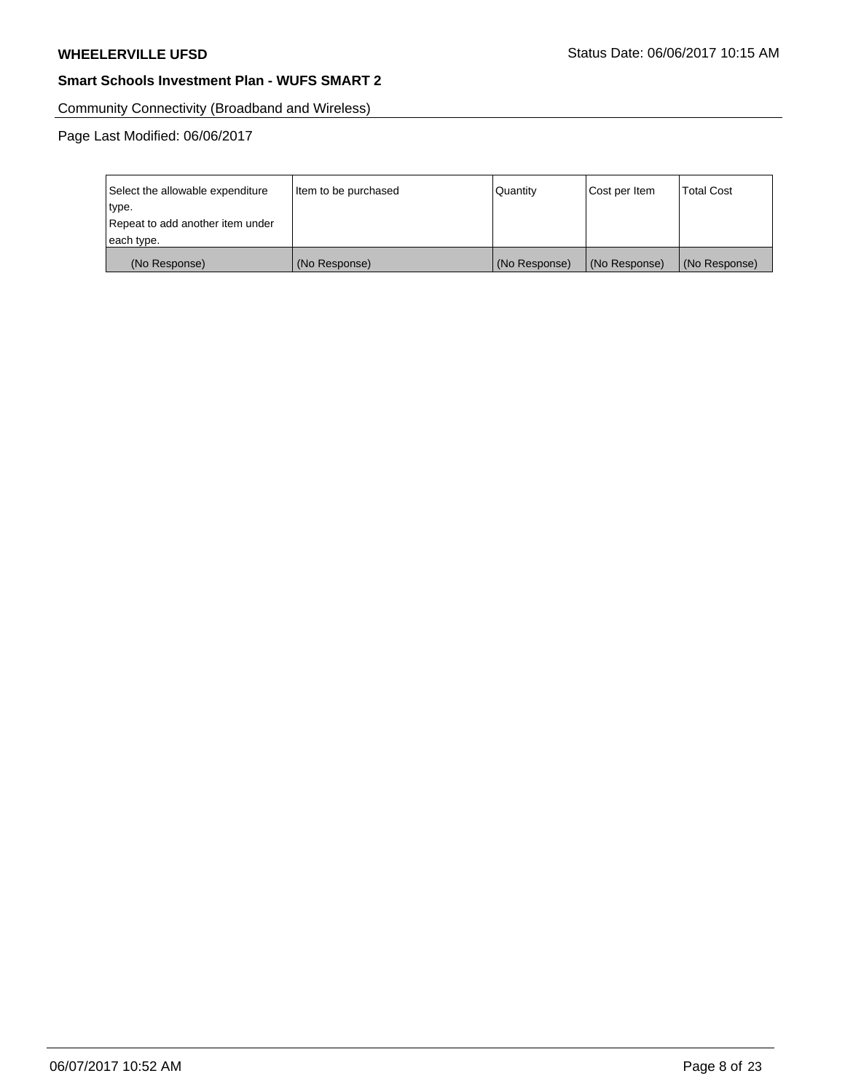Community Connectivity (Broadband and Wireless)

| Select the allowable expenditure | Item to be purchased | Quantity      | Cost per Item | <b>Total Cost</b> |
|----------------------------------|----------------------|---------------|---------------|-------------------|
| type.                            |                      |               |               |                   |
| Repeat to add another item under |                      |               |               |                   |
| each type.                       |                      |               |               |                   |
| (No Response)                    | (No Response)        | (No Response) | (No Response) | (No Response)     |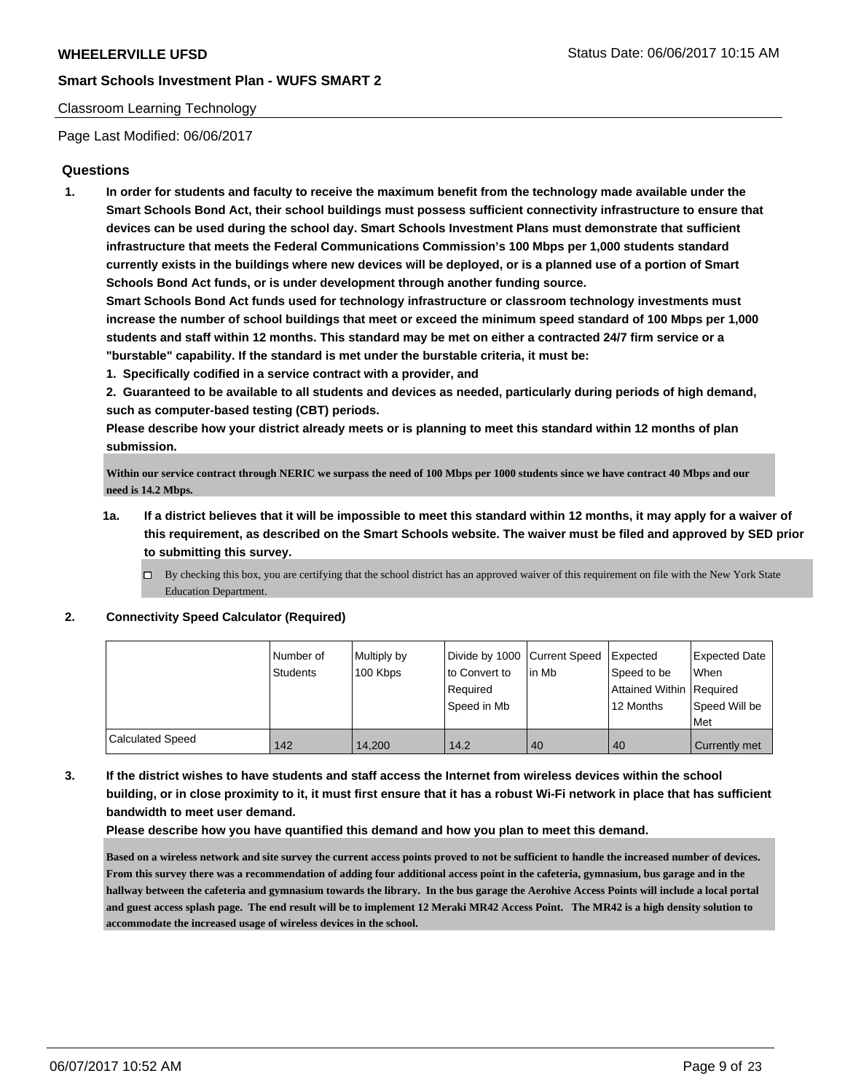#### Classroom Learning Technology

Page Last Modified: 06/06/2017

### **Questions**

**1. In order for students and faculty to receive the maximum benefit from the technology made available under the Smart Schools Bond Act, their school buildings must possess sufficient connectivity infrastructure to ensure that devices can be used during the school day. Smart Schools Investment Plans must demonstrate that sufficient infrastructure that meets the Federal Communications Commission's 100 Mbps per 1,000 students standard currently exists in the buildings where new devices will be deployed, or is a planned use of a portion of Smart Schools Bond Act funds, or is under development through another funding source.**

**Smart Schools Bond Act funds used for technology infrastructure or classroom technology investments must increase the number of school buildings that meet or exceed the minimum speed standard of 100 Mbps per 1,000 students and staff within 12 months. This standard may be met on either a contracted 24/7 firm service or a "burstable" capability. If the standard is met under the burstable criteria, it must be:**

**1. Specifically codified in a service contract with a provider, and**

**2. Guaranteed to be available to all students and devices as needed, particularly during periods of high demand, such as computer-based testing (CBT) periods.**

**Please describe how your district already meets or is planning to meet this standard within 12 months of plan submission.**

**Within our service contract through NERIC we surpass the need of 100 Mbps per 1000 students since we have contract 40 Mbps and our need is 14.2 Mbps.** 

- **1a. If a district believes that it will be impossible to meet this standard within 12 months, it may apply for a waiver of this requirement, as described on the Smart Schools website. The waiver must be filed and approved by SED prior to submitting this survey.**
	- $\Box$  By checking this box, you are certifying that the school district has an approved waiver of this requirement on file with the New York State Education Department.

#### **2. Connectivity Speed Calculator (Required)**

|                         | l Number of     | Multiply by | Divide by 1000   Current Speed |        | Expected                 | <b>Expected Date</b> |
|-------------------------|-----------------|-------------|--------------------------------|--------|--------------------------|----------------------|
|                         | <b>Students</b> | 100 Kbps    | to Convert to                  | lin Mb | Speed to be              | <b>When</b>          |
|                         |                 |             | Required                       |        | Attained Within Required |                      |
|                         |                 |             | Speed in Mb                    |        | 12 Months                | Speed Will be        |
|                         |                 |             |                                |        |                          | Met                  |
| <b>Calculated Speed</b> | 142             | 14.200      | 14.2                           | 40     | 40                       | Currently met        |

**3. If the district wishes to have students and staff access the Internet from wireless devices within the school building, or in close proximity to it, it must first ensure that it has a robust Wi-Fi network in place that has sufficient bandwidth to meet user demand.**

**Please describe how you have quantified this demand and how you plan to meet this demand.**

**Based on a wireless network and site survey the current access points proved to not be sufficient to handle the increased number of devices. From this survey there was a recommendation of adding four additional access point in the cafeteria, gymnasium, bus garage and in the hallway between the cafeteria and gymnasium towards the library. In the bus garage the Aerohive Access Points will include a local portal and guest access splash page. The end result will be to implement 12 Meraki MR42 Access Point. The MR42 is a high density solution to accommodate the increased usage of wireless devices in the school.**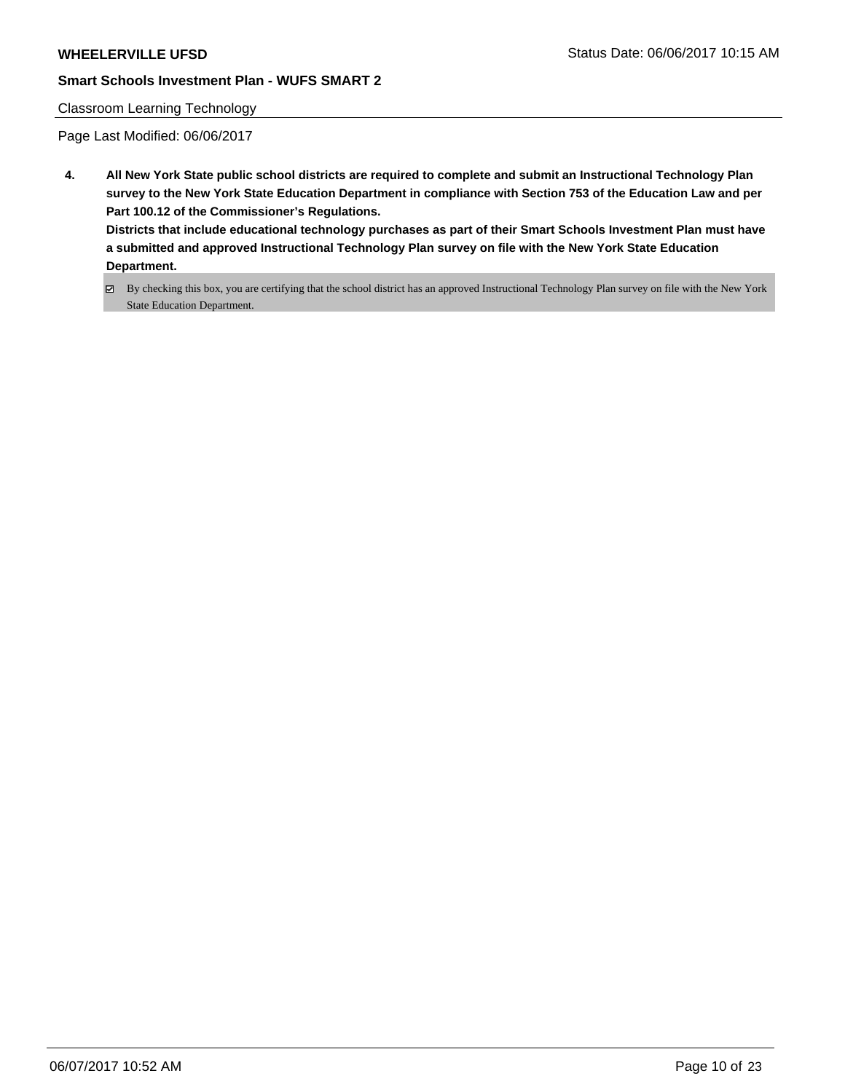### Classroom Learning Technology

- **4. All New York State public school districts are required to complete and submit an Instructional Technology Plan survey to the New York State Education Department in compliance with Section 753 of the Education Law and per Part 100.12 of the Commissioner's Regulations. Districts that include educational technology purchases as part of their Smart Schools Investment Plan must have a submitted and approved Instructional Technology Plan survey on file with the New York State Education Department.**
	- By checking this box, you are certifying that the school district has an approved Instructional Technology Plan survey on file with the New York State Education Department.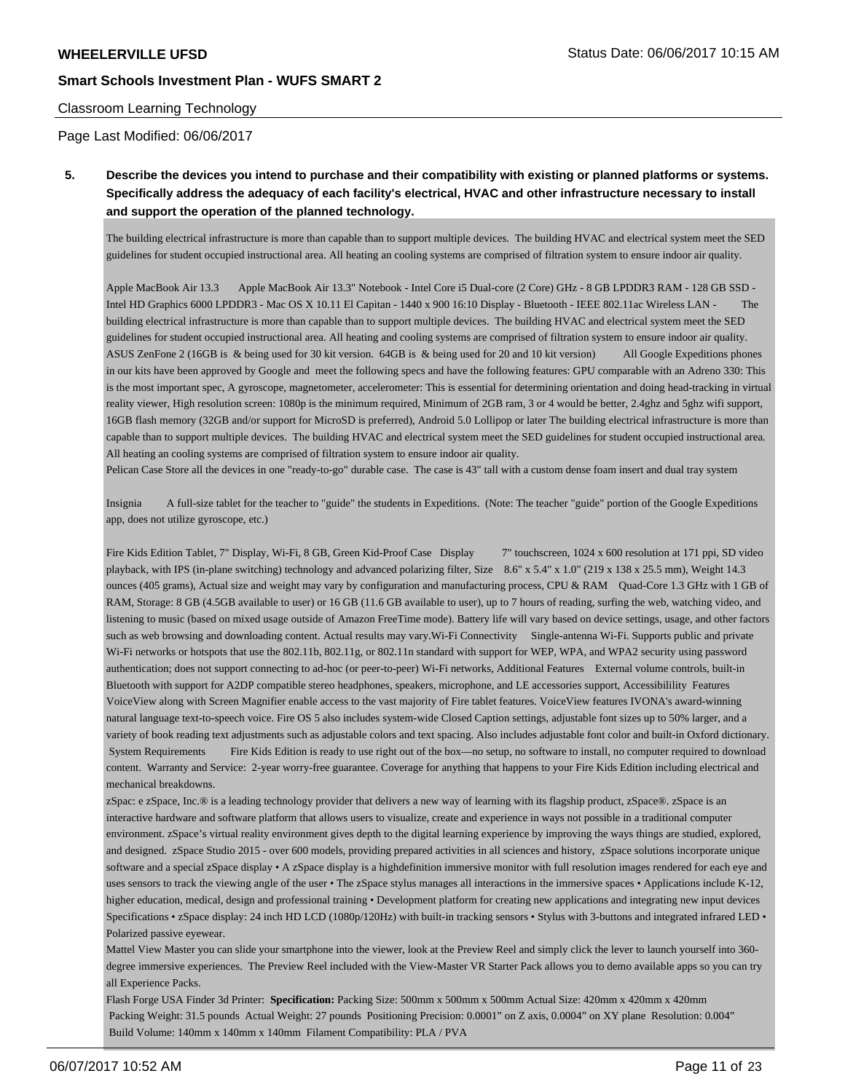#### Classroom Learning Technology

Page Last Modified: 06/06/2017

# **5. Describe the devices you intend to purchase and their compatibility with existing or planned platforms or systems. Specifically address the adequacy of each facility's electrical, HVAC and other infrastructure necessary to install and support the operation of the planned technology.**

The building electrical infrastructure is more than capable than to support multiple devices. The building HVAC and electrical system meet the SED guidelines for student occupied instructional area. All heating an cooling systems are comprised of filtration system to ensure indoor air quality.

Apple MacBook Air 13.3 Apple MacBook Air 13.3" Notebook - Intel Core i5 Dual-core (2 Core) GHz - 8 GB LPDDR3 RAM - 128 GB SSD - Intel HD Graphics 6000 LPDDR3 - Mac OS X 10.11 El Capitan - 1440 x 900 16:10 Display - Bluetooth - IEEE 802.11ac Wireless LAN - The building electrical infrastructure is more than capable than to support multiple devices. The building HVAC and electrical system meet the SED guidelines for student occupied instructional area. All heating and cooling systems are comprised of filtration system to ensure indoor air quality. ASUS ZenFone 2 (16GB is & being used for 30 kit version. 64GB is & being used for 20 and 10 kit version) All Google Expeditions phones in our kits have been approved by Google and meet the following specs and have the following features: GPU comparable with an Adreno 330: This is the most important spec, A gyroscope, magnetometer, accelerometer: This is essential for determining orientation and doing head-tracking in virtual reality viewer, High resolution screen: 1080p is the minimum required, Minimum of 2GB ram, 3 or 4 would be better, 2.4ghz and 5ghz wifi support, 16GB flash memory (32GB and/or support for MicroSD is preferred), Android 5.0 Lollipop or later The building electrical infrastructure is more than capable than to support multiple devices. The building HVAC and electrical system meet the SED guidelines for student occupied instructional area. All heating an cooling systems are comprised of filtration system to ensure indoor air quality.

Pelican Case Store all the devices in one "ready-to-go" durable case. The case is 43" tall with a custom dense foam insert and dual tray system

Insignia A full-size tablet for the teacher to "guide" the students in Expeditions. (Note: The teacher "guide" portion of the Google Expeditions app, does not utilize gyroscope, etc.)

Fire Kids Edition Tablet, 7" Display, Wi-Fi, 8 GB, Green Kid-Proof Case Display 7" touchscreen, 1024 x 600 resolution at 171 ppi, SD video playback, with IPS (in-plane switching) technology and advanced polarizing filter, Size 8.6" x 5.4" x 1.0" (219 x 138 x 25.5 mm), Weight 14.3 ounces (405 grams), Actual size and weight may vary by configuration and manufacturing process, CPU & RAM Quad-Core 1.3 GHz with 1 GB of RAM, Storage: 8 GB (4.5GB available to user) or 16 GB (11.6 GB available to user), up to 7 hours of reading, surfing the web, watching video, and listening to music (based on mixed usage outside of Amazon FreeTime mode). Battery life will vary based on device settings, usage, and other factors such as web browsing and downloading content. Actual results may vary.Wi-Fi Connectivity Single-antenna Wi-Fi. Supports public and private Wi-Fi networks or hotspots that use the 802.11b, 802.11g, or 802.11n standard with support for WEP, WPA, and WPA2 security using password authentication; does not support connecting to ad-hoc (or peer-to-peer) Wi-Fi networks, Additional Features External volume controls, built-in Bluetooth with support for A2DP compatible stereo headphones, speakers, microphone, and LE accessories support, Accessibilility Features VoiceView along with Screen Magnifier enable access to the vast majority of Fire tablet features. VoiceView features IVONA's award-winning natural language text-to-speech voice. Fire OS 5 also includes system-wide Closed Caption settings, adjustable font sizes up to 50% larger, and a variety of book reading text adjustments such as adjustable colors and text spacing. Also includes adjustable font color and built-in Oxford dictionary. System Requirements Fire Kids Edition is ready to use right out of the box—no setup, no software to install, no computer required to download content. Warranty and Service: 2-year worry-free guarantee. Coverage for anything that happens to your Fire Kids Edition including electrical and mechanical breakdowns.

zSpac: e zSpace, Inc.® is a leading technology provider that delivers a new way of learning with its flagship product, zSpace®. zSpace is an interactive hardware and software platform that allows users to visualize, create and experience in ways not possible in a traditional computer environment. zSpace's virtual reality environment gives depth to the digital learning experience by improving the ways things are studied, explored, and designed. zSpace Studio 2015 - over 600 models, providing prepared activities in all sciences and history, zSpace solutions incorporate unique software and a special zSpace display • A zSpace display is a highdefinition immersive monitor with full resolution images rendered for each eye and uses sensors to track the viewing angle of the user • The zSpace stylus manages all interactions in the immersive spaces • Applications include K-12, higher education, medical, design and professional training • Development platform for creating new applications and integrating new input devices Specifications • zSpace display: 24 inch HD LCD (1080p/120Hz) with built-in tracking sensors • Stylus with 3-buttons and integrated infrared LED • Polarized passive eyewear.

Mattel View Master you can slide your smartphone into the viewer, look at the Preview Reel and simply click the lever to launch yourself into 360 degree immersive experiences. The Preview Reel included with the View-Master VR Starter Pack allows you to demo available apps so you can try all Experience Packs.

Flash Forge USA Finder 3d Printer: **Specification:** Packing Size: 500mm x 500mm x 500mm Actual Size: 420mm x 420mm x 420mm Packing Weight: 31.5 pounds Actual Weight: 27 pounds Positioning Precision: 0.0001" on Z axis, 0.0004" on XY plane Resolution: 0.004" Build Volume: 140mm x 140mm x 140mm Filament Compatibility: PLA / PVA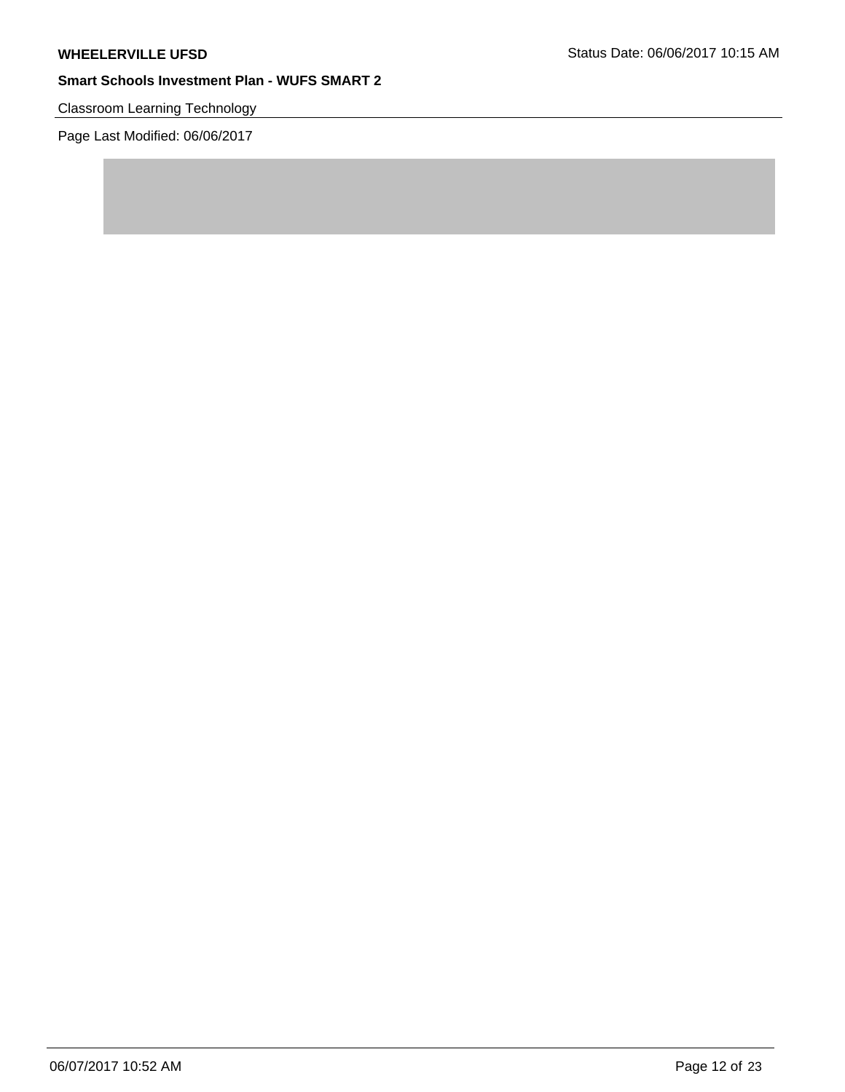# Classroom Learning Technology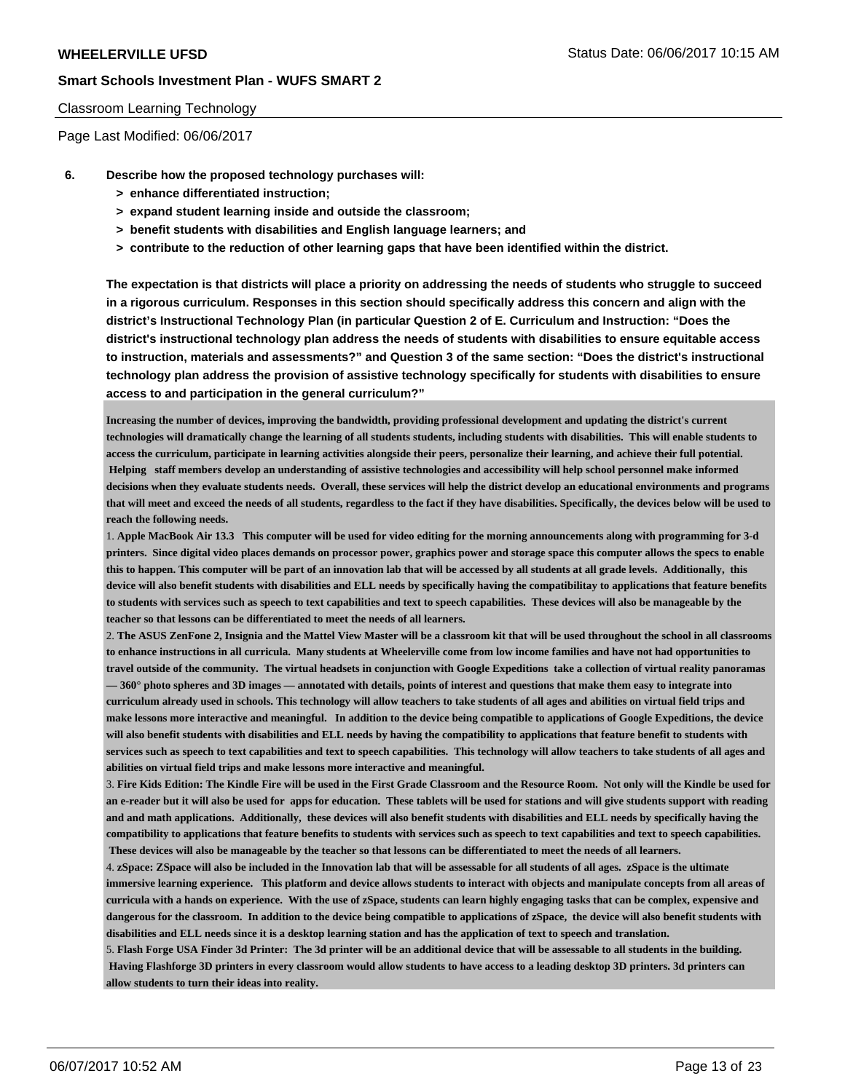#### Classroom Learning Technology

Page Last Modified: 06/06/2017

- **6. Describe how the proposed technology purchases will:**
	- **> enhance differentiated instruction;**
	- **> expand student learning inside and outside the classroom;**
	- **> benefit students with disabilities and English language learners; and**
	- **> contribute to the reduction of other learning gaps that have been identified within the district.**

**The expectation is that districts will place a priority on addressing the needs of students who struggle to succeed in a rigorous curriculum. Responses in this section should specifically address this concern and align with the district's Instructional Technology Plan (in particular Question 2 of E. Curriculum and Instruction: "Does the district's instructional technology plan address the needs of students with disabilities to ensure equitable access to instruction, materials and assessments?" and Question 3 of the same section: "Does the district's instructional technology plan address the provision of assistive technology specifically for students with disabilities to ensure access to and participation in the general curriculum?"**

**Increasing the number of devices, improving the bandwidth, providing professional development and updating the district's current technologies will dramatically change the learning of all students students, including students with disabilities. This will enable students to access the curriculum, participate in learning activities alongside their peers, personalize their learning, and achieve their full potential. Helping staff members develop an understanding of assistive technologies and accessibility will help school personnel make informed decisions when they evaluate students needs. Overall, these services will help the district develop an educational environments and programs that will meet and exceed the needs of all students, regardless to the fact if they have disabilities. Specifically, the devices below will be used to reach the following needs.** 

1. **Apple MacBook Air 13.3 This computer will be used for video editing for the morning announcements along with programming for 3-d printers. Since digital video places demands on processor power, graphics power and storage space this computer allows the specs to enable this to happen. This computer will be part of an innovation lab that will be accessed by all students at all grade levels. Additionally, this device will also benefit students with disabilities and ELL needs by specifically having the compatibilitay to applications that feature benefits to students with services such as speech to text capabilities and text to speech capabilities. These devices will also be manageable by the teacher so that lessons can be differentiated to meet the needs of all learners.** 

2. **The ASUS ZenFone 2, Insignia and the Mattel View Master will be a classroom kit that will be used throughout the school in all classrooms to enhance instructions in all curricula. Many students at Wheelerville come from low income families and have not had opportunities to travel outside of the community. The virtual headsets in conjunction with Google Expeditions take a collection of virtual reality panoramas — 360° photo spheres and 3D images — annotated with details, points of interest and questions that make them easy to integrate into curriculum already used in schools. This technology will allow teachers to take students of all ages and abilities on virtual field trips and make lessons more interactive and meaningful. In addition to the device being compatible to applications of Google Expeditions, the device will also benefit students with disabilities and ELL needs by having the compatibility to applications that feature benefit to students with services such as speech to text capabilities and text to speech capabilities. This technology will allow teachers to take students of all ages and abilities on virtual field trips and make lessons more interactive and meaningful.** 

3. **Fire Kids Edition: The Kindle Fire will be used in the First Grade Classroom and the Resource Room. Not only will the Kindle be used for an e-reader but it will also be used for apps for education. These tablets will be used for stations and will give students support with reading and and math applications. Additionally, these devices will also benefit students with disabilities and ELL needs by specifically having the compatibility to applications that feature benefits to students with services such as speech to text capabilities and text to speech capabilities. These devices will also be manageable by the teacher so that lessons can be differentiated to meet the needs of all learners.** 

4. **zSpace: ZSpace will also be included in the Innovation lab that will be assessable for all students of all ages. zSpace is the ultimate immersive learning experience. This platform and device allows students to interact with objects and manipulate concepts from all areas of curricula with a hands on experience. With the use of zSpace, students can learn highly engaging tasks that can be complex, expensive and dangerous for the classroom. In addition to the device being compatible to applications of zSpace, the device will also benefit students with disabilities and ELL needs since it is a desktop learning station and has the application of text to speech and translation.** 

5. **Flash Forge USA Finder 3d Printer: The 3d printer will be an additional device that will be assessable to all students in the building. Having Flashforge 3D printers in every classroom would allow students to have access to a leading desktop 3D printers. 3d printers can allow students to turn their ideas into reality.**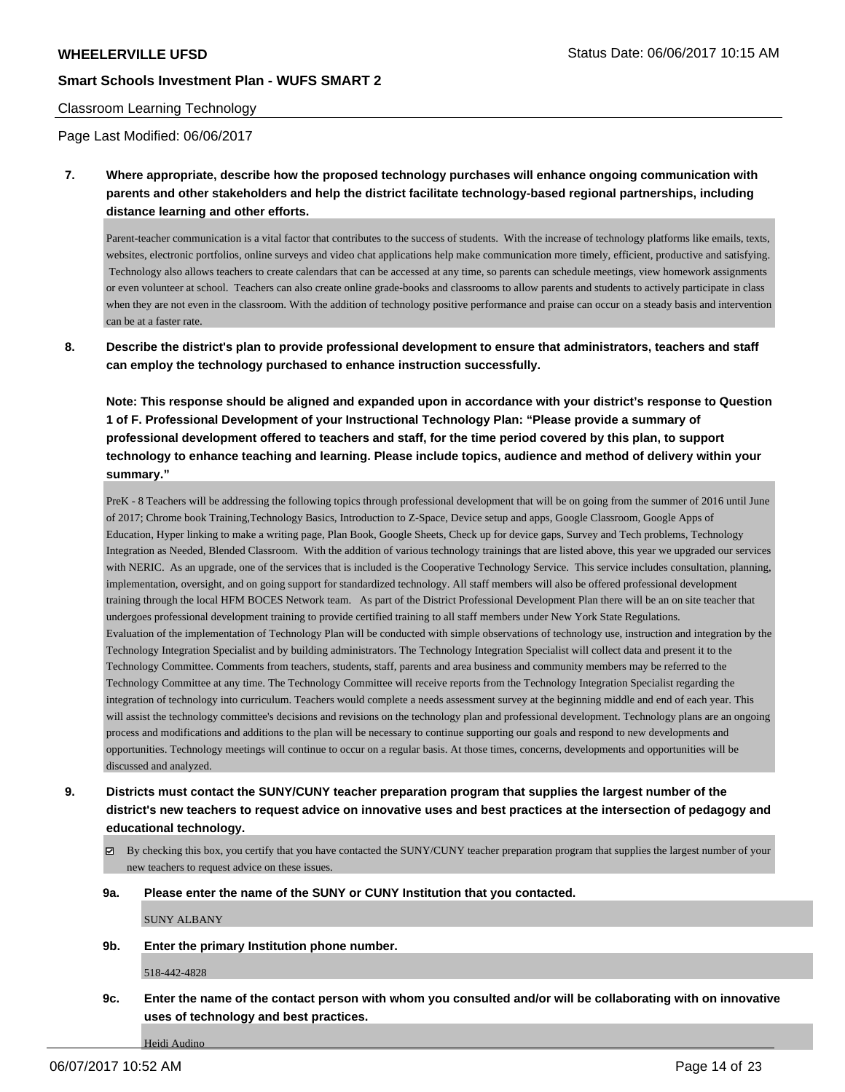#### Classroom Learning Technology

Page Last Modified: 06/06/2017

**7. Where appropriate, describe how the proposed technology purchases will enhance ongoing communication with parents and other stakeholders and help the district facilitate technology-based regional partnerships, including distance learning and other efforts.**

Parent-teacher communication is a vital factor that contributes to the success of students. With the increase of technology platforms like emails, texts, websites, electronic portfolios, online surveys and video chat applications help make communication more timely, efficient, productive and satisfying. Technology also allows teachers to create calendars that can be accessed at any time, so parents can schedule meetings, view homework assignments or even volunteer at school. Teachers can also create online grade-books and classrooms to allow parents and students to actively participate in class when they are not even in the classroom. With the addition of technology positive performance and praise can occur on a steady basis and intervention can be at a faster rate.

**8. Describe the district's plan to provide professional development to ensure that administrators, teachers and staff can employ the technology purchased to enhance instruction successfully.**

**Note: This response should be aligned and expanded upon in accordance with your district's response to Question 1 of F. Professional Development of your Instructional Technology Plan: "Please provide a summary of professional development offered to teachers and staff, for the time period covered by this plan, to support technology to enhance teaching and learning. Please include topics, audience and method of delivery within your summary."**

PreK - 8 Teachers will be addressing the following topics through professional development that will be on going from the summer of 2016 until June of 2017; Chrome book Training,Technology Basics, Introduction to Z-Space, Device setup and apps, Google Classroom, Google Apps of Education, Hyper linking to make a writing page, Plan Book, Google Sheets, Check up for device gaps, Survey and Tech problems, Technology Integration as Needed, Blended Classroom. With the addition of various technology trainings that are listed above, this year we upgraded our services with NERIC. As an upgrade, one of the services that is included is the Cooperative Technology Service. This service includes consultation, planning, implementation, oversight, and on going support for standardized technology. All staff members will also be offered professional development training through the local HFM BOCES Network team. As part of the District Professional Development Plan there will be an on site teacher that undergoes professional development training to provide certified training to all staff members under New York State Regulations. Evaluation of the implementation of Technology Plan will be conducted with simple observations of technology use, instruction and integration by the Technology Integration Specialist and by building administrators. The Technology Integration Specialist will collect data and present it to the Technology Committee. Comments from teachers, students, staff, parents and area business and community members may be referred to the Technology Committee at any time. The Technology Committee will receive reports from the Technology Integration Specialist regarding the integration of technology into curriculum. Teachers would complete a needs assessment survey at the beginning middle and end of each year. This will assist the technology committee's decisions and revisions on the technology plan and professional development. Technology plans are an ongoing process and modifications and additions to the plan will be necessary to continue supporting our goals and respond to new developments and opportunities. Technology meetings will continue to occur on a regular basis. At those times, concerns, developments and opportunities will be discussed and analyzed.

- **9. Districts must contact the SUNY/CUNY teacher preparation program that supplies the largest number of the district's new teachers to request advice on innovative uses and best practices at the intersection of pedagogy and educational technology.**
	- By checking this box, you certify that you have contacted the SUNY/CUNY teacher preparation program that supplies the largest number of your new teachers to request advice on these issues.
	- **9a. Please enter the name of the SUNY or CUNY Institution that you contacted.**

SUNY ALBANY

**9b. Enter the primary Institution phone number.**

518-442-4828

**9c. Enter the name of the contact person with whom you consulted and/or will be collaborating with on innovative uses of technology and best practices.**

Heidi Audino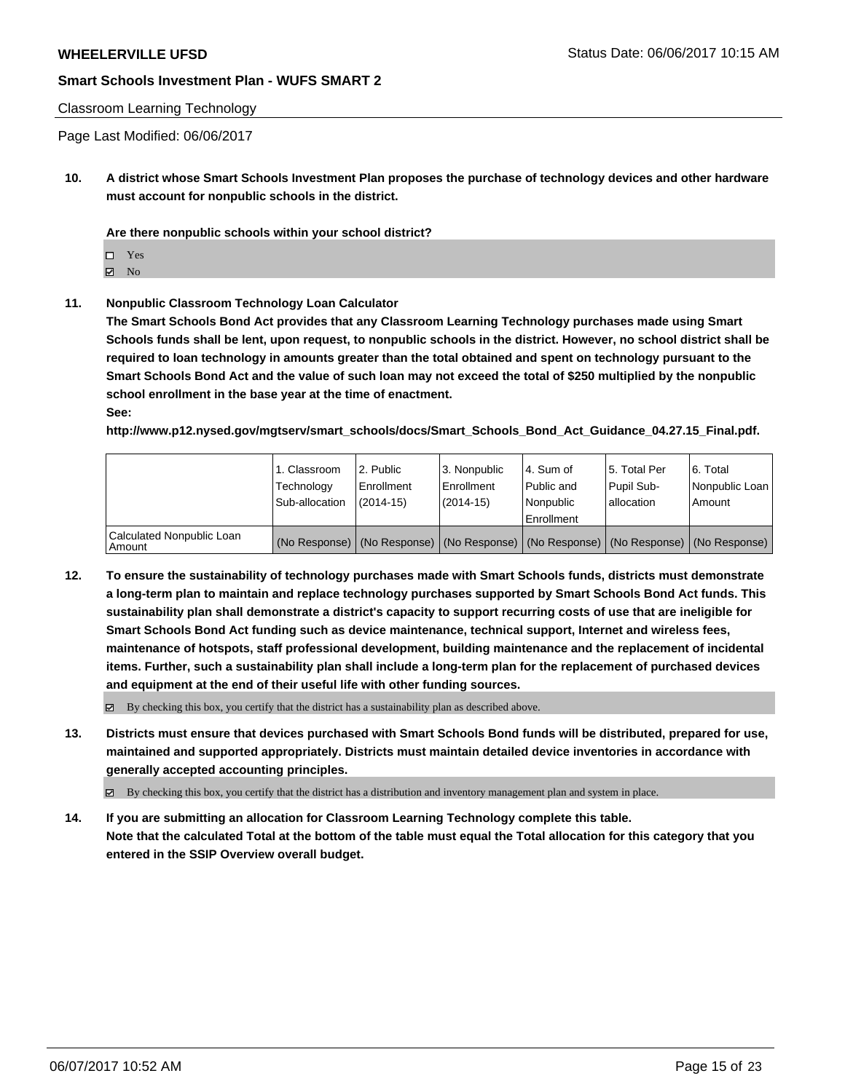#### Classroom Learning Technology

Page Last Modified: 06/06/2017

**10. A district whose Smart Schools Investment Plan proposes the purchase of technology devices and other hardware must account for nonpublic schools in the district.**

**Are there nonpublic schools within your school district?**

Yes

 $\boxtimes$  No

#### **11. Nonpublic Classroom Technology Loan Calculator**

**The Smart Schools Bond Act provides that any Classroom Learning Technology purchases made using Smart Schools funds shall be lent, upon request, to nonpublic schools in the district. However, no school district shall be required to loan technology in amounts greater than the total obtained and spent on technology pursuant to the Smart Schools Bond Act and the value of such loan may not exceed the total of \$250 multiplied by the nonpublic school enrollment in the base year at the time of enactment. See:**

**http://www.p12.nysed.gov/mgtserv/smart\_schools/docs/Smart\_Schools\_Bond\_Act\_Guidance\_04.27.15\_Final.pdf.**

|                                       | 1. Classroom<br>Technology<br>Sub-allocation | 2. Public<br>Enrollment<br>$(2014-15)$ | 3. Nonpublic<br>Enrollment<br>$(2014-15)$ | l 4. Sum of<br>Public and<br>l Nonpublic<br>l Enrollment                                      | 15. Total Per<br>Pupil Sub-<br>allocation | 6. Total<br>Nonpublic Loan<br>Amount |
|---------------------------------------|----------------------------------------------|----------------------------------------|-------------------------------------------|-----------------------------------------------------------------------------------------------|-------------------------------------------|--------------------------------------|
| Calculated Nonpublic Loan<br>l Amount |                                              |                                        |                                           | (No Response)   (No Response)   (No Response)   (No Response)   (No Response)   (No Response) |                                           |                                      |

**12. To ensure the sustainability of technology purchases made with Smart Schools funds, districts must demonstrate a long-term plan to maintain and replace technology purchases supported by Smart Schools Bond Act funds. This sustainability plan shall demonstrate a district's capacity to support recurring costs of use that are ineligible for Smart Schools Bond Act funding such as device maintenance, technical support, Internet and wireless fees, maintenance of hotspots, staff professional development, building maintenance and the replacement of incidental items. Further, such a sustainability plan shall include a long-term plan for the replacement of purchased devices and equipment at the end of their useful life with other funding sources.**

 $\boxtimes$  By checking this box, you certify that the district has a sustainability plan as described above.

**13. Districts must ensure that devices purchased with Smart Schools Bond funds will be distributed, prepared for use, maintained and supported appropriately. Districts must maintain detailed device inventories in accordance with generally accepted accounting principles.**

By checking this box, you certify that the district has a distribution and inventory management plan and system in place.

**14. If you are submitting an allocation for Classroom Learning Technology complete this table. Note that the calculated Total at the bottom of the table must equal the Total allocation for this category that you entered in the SSIP Overview overall budget.**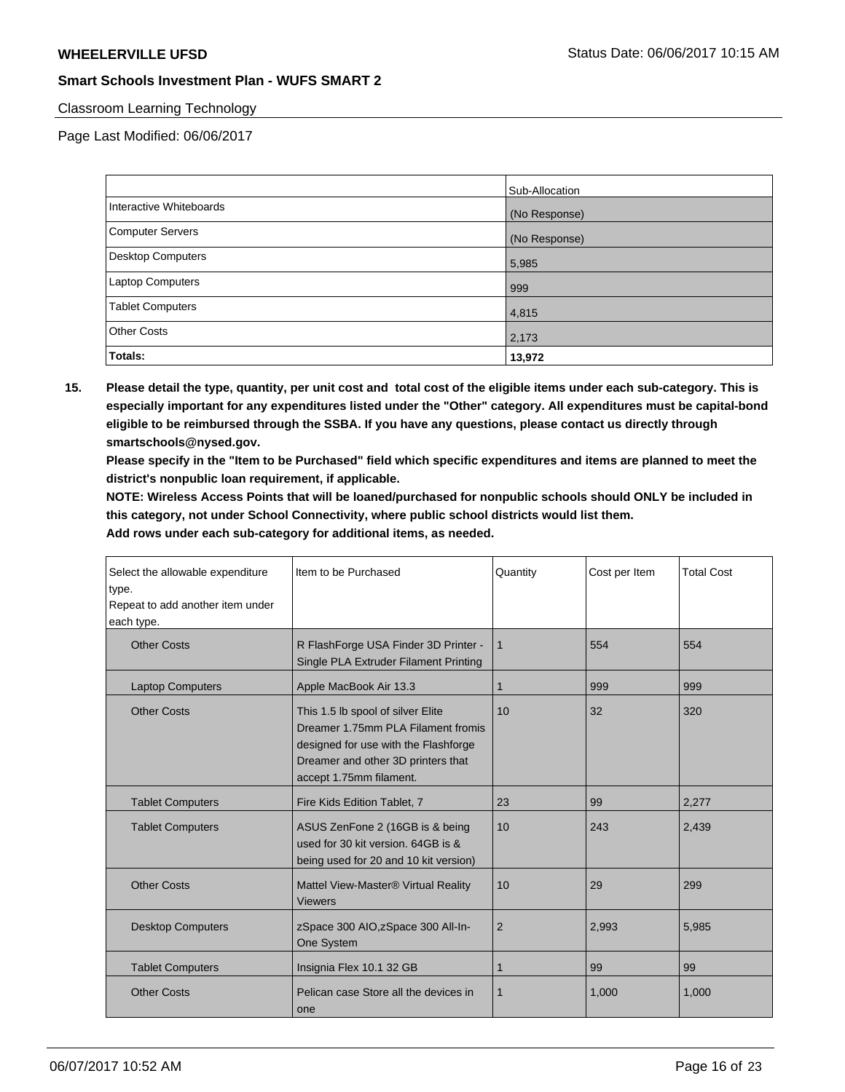### Classroom Learning Technology

Page Last Modified: 06/06/2017

|                         | Sub-Allocation |
|-------------------------|----------------|
| Interactive Whiteboards | (No Response)  |
| Computer Servers        | (No Response)  |
| Desktop Computers       | 5,985          |
| Laptop Computers        | 999            |
| <b>Tablet Computers</b> | 4,815          |
| <b>Other Costs</b>      | 2,173          |
| <b>Totals:</b>          | 13,972         |

**15. Please detail the type, quantity, per unit cost and total cost of the eligible items under each sub-category. This is especially important for any expenditures listed under the "Other" category. All expenditures must be capital-bond eligible to be reimbursed through the SSBA. If you have any questions, please contact us directly through smartschools@nysed.gov.**

**Please specify in the "Item to be Purchased" field which specific expenditures and items are planned to meet the district's nonpublic loan requirement, if applicable.**

**NOTE: Wireless Access Points that will be loaned/purchased for nonpublic schools should ONLY be included in this category, not under School Connectivity, where public school districts would list them.**

| Select the allowable expenditure<br>type.<br>Repeat to add another item under | Item to be Purchased                                                                                                                                                             | Quantity       | Cost per Item | <b>Total Cost</b> |
|-------------------------------------------------------------------------------|----------------------------------------------------------------------------------------------------------------------------------------------------------------------------------|----------------|---------------|-------------------|
| each type.                                                                    |                                                                                                                                                                                  |                |               |                   |
| <b>Other Costs</b>                                                            | R FlashForge USA Finder 3D Printer -<br>Single PLA Extruder Filament Printing                                                                                                    | $\mathbf{1}$   | 554           | 554               |
| <b>Laptop Computers</b>                                                       | Apple MacBook Air 13.3                                                                                                                                                           | 1              | 999           | 999               |
| <b>Other Costs</b>                                                            | This 1.5 lb spool of silver Elite<br>Dreamer 1.75mm PLA Filament fromis<br>designed for use with the Flashforge<br>Dreamer and other 3D printers that<br>accept 1.75mm filament. | 10             | 32            | 320               |
| <b>Tablet Computers</b>                                                       | Fire Kids Edition Tablet, 7                                                                                                                                                      | 23             | 99            | 2,277             |
| <b>Tablet Computers</b>                                                       | ASUS ZenFone 2 (16GB is & being<br>used for 30 kit version, 64GB is &<br>being used for 20 and 10 kit version)                                                                   | 10             | 243           | 2,439             |
| <b>Other Costs</b>                                                            | Mattel View-Master® Virtual Reality<br><b>Viewers</b>                                                                                                                            | 10             | 29            | 299               |
| <b>Desktop Computers</b>                                                      | zSpace 300 AIO, zSpace 300 All-In-<br>One System                                                                                                                                 | $\overline{2}$ | 2.993         | 5.985             |
| <b>Tablet Computers</b>                                                       | Insignia Flex 10.1 32 GB                                                                                                                                                         | 1              | 99            | 99                |
| <b>Other Costs</b>                                                            | Pelican case Store all the devices in<br>one                                                                                                                                     | 1              | 1.000         | 1,000             |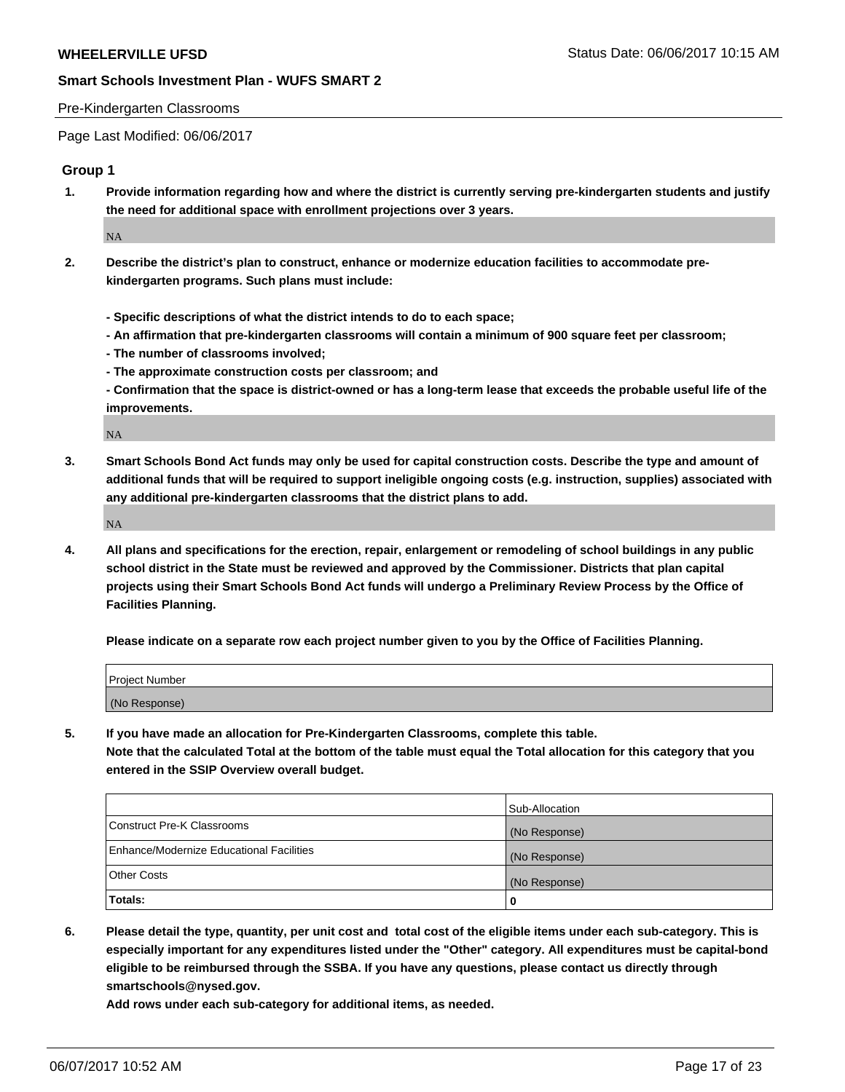#### Pre-Kindergarten Classrooms

Page Last Modified: 06/06/2017

### **Group 1**

**1. Provide information regarding how and where the district is currently serving pre-kindergarten students and justify the need for additional space with enrollment projections over 3 years.**

NA

- **2. Describe the district's plan to construct, enhance or modernize education facilities to accommodate prekindergarten programs. Such plans must include:**
	- **Specific descriptions of what the district intends to do to each space;**
	- **An affirmation that pre-kindergarten classrooms will contain a minimum of 900 square feet per classroom;**
	- **The number of classrooms involved;**
	- **The approximate construction costs per classroom; and**
	- **Confirmation that the space is district-owned or has a long-term lease that exceeds the probable useful life of the improvements.**

NA

**3. Smart Schools Bond Act funds may only be used for capital construction costs. Describe the type and amount of additional funds that will be required to support ineligible ongoing costs (e.g. instruction, supplies) associated with any additional pre-kindergarten classrooms that the district plans to add.**

NA

**4. All plans and specifications for the erection, repair, enlargement or remodeling of school buildings in any public school district in the State must be reviewed and approved by the Commissioner. Districts that plan capital projects using their Smart Schools Bond Act funds will undergo a Preliminary Review Process by the Office of Facilities Planning.**

**Please indicate on a separate row each project number given to you by the Office of Facilities Planning.**

| Project Number |  |
|----------------|--|
| (No Response)  |  |

**5. If you have made an allocation for Pre-Kindergarten Classrooms, complete this table. Note that the calculated Total at the bottom of the table must equal the Total allocation for this category that you entered in the SSIP Overview overall budget.**

| Totals:                                  | 0              |
|------------------------------------------|----------------|
| Other Costs                              | (No Response)  |
| Enhance/Modernize Educational Facilities | (No Response)  |
| Construct Pre-K Classrooms               | (No Response)  |
|                                          | Sub-Allocation |

**6. Please detail the type, quantity, per unit cost and total cost of the eligible items under each sub-category. This is especially important for any expenditures listed under the "Other" category. All expenditures must be capital-bond eligible to be reimbursed through the SSBA. If you have any questions, please contact us directly through smartschools@nysed.gov.**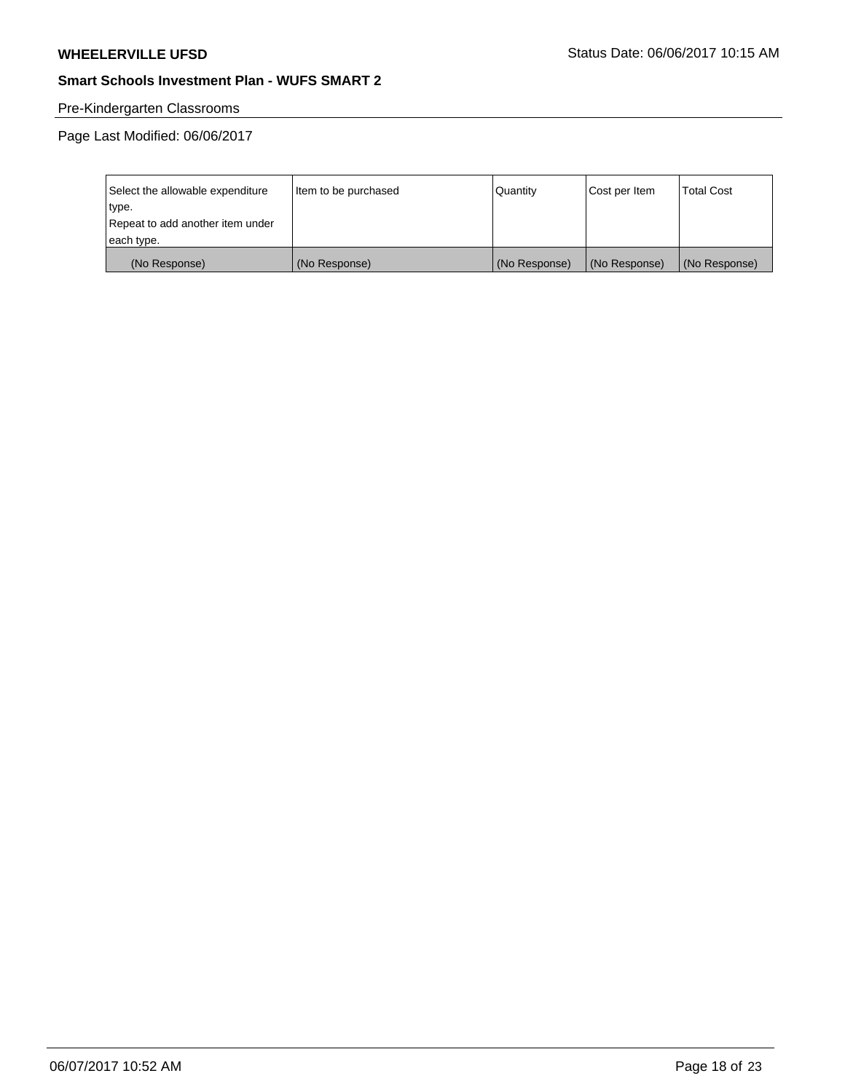# Pre-Kindergarten Classrooms

| Select the allowable expenditure | Item to be purchased | Quantity      | Cost per Item | <b>Total Cost</b> |
|----------------------------------|----------------------|---------------|---------------|-------------------|
| type.                            |                      |               |               |                   |
| Repeat to add another item under |                      |               |               |                   |
| each type.                       |                      |               |               |                   |
| (No Response)                    | (No Response)        | (No Response) | (No Response) | (No Response)     |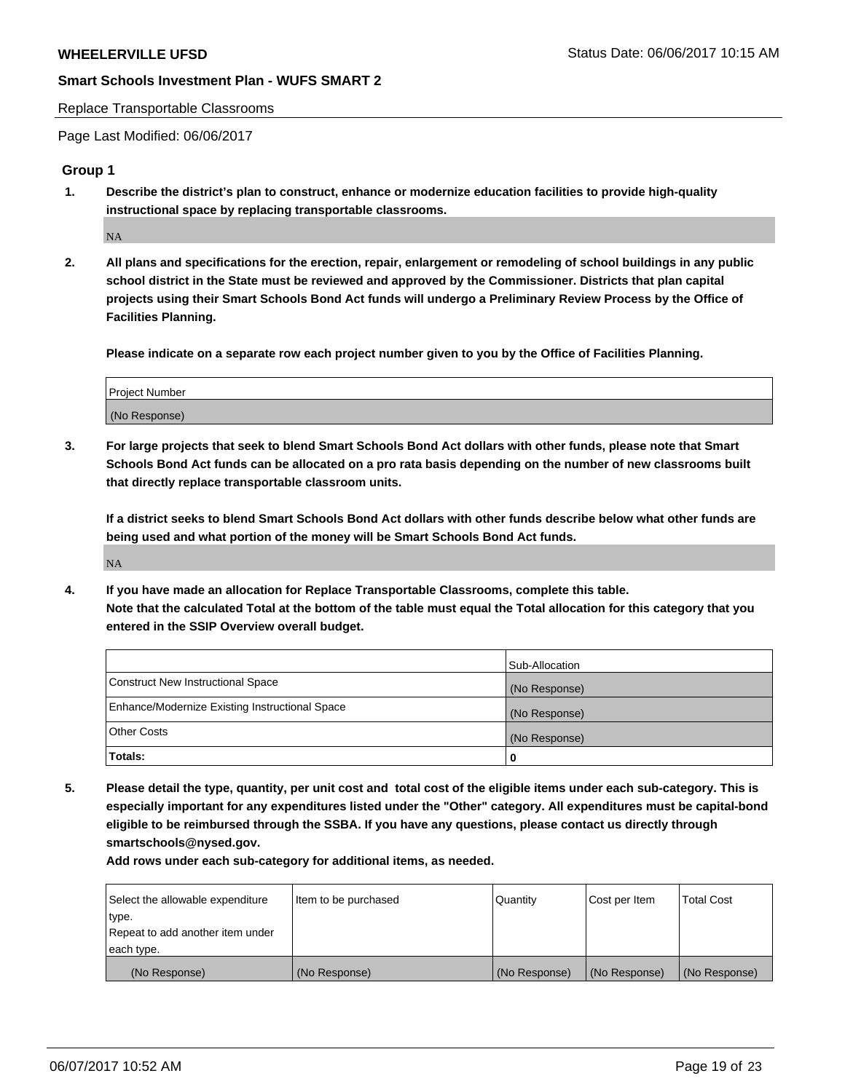#### Replace Transportable Classrooms

Page Last Modified: 06/06/2017

### **Group 1**

**1. Describe the district's plan to construct, enhance or modernize education facilities to provide high-quality instructional space by replacing transportable classrooms.**

NA

**2. All plans and specifications for the erection, repair, enlargement or remodeling of school buildings in any public school district in the State must be reviewed and approved by the Commissioner. Districts that plan capital projects using their Smart Schools Bond Act funds will undergo a Preliminary Review Process by the Office of Facilities Planning.**

**Please indicate on a separate row each project number given to you by the Office of Facilities Planning.**

| Project Number |  |
|----------------|--|
| (No Response)  |  |

**3. For large projects that seek to blend Smart Schools Bond Act dollars with other funds, please note that Smart Schools Bond Act funds can be allocated on a pro rata basis depending on the number of new classrooms built that directly replace transportable classroom units.**

**If a district seeks to blend Smart Schools Bond Act dollars with other funds describe below what other funds are being used and what portion of the money will be Smart Schools Bond Act funds.**

NA

**4. If you have made an allocation for Replace Transportable Classrooms, complete this table. Note that the calculated Total at the bottom of the table must equal the Total allocation for this category that you entered in the SSIP Overview overall budget.**

|                                                | Sub-Allocation |
|------------------------------------------------|----------------|
| Construct New Instructional Space              | (No Response)  |
| Enhance/Modernize Existing Instructional Space | (No Response)  |
| Other Costs                                    | (No Response)  |
| Totals:                                        | $\Omega$       |

**5. Please detail the type, quantity, per unit cost and total cost of the eligible items under each sub-category. This is especially important for any expenditures listed under the "Other" category. All expenditures must be capital-bond eligible to be reimbursed through the SSBA. If you have any questions, please contact us directly through smartschools@nysed.gov.**

| Select the allowable expenditure | Item to be purchased | Quantity      | Cost per Item | <b>Total Cost</b> |
|----------------------------------|----------------------|---------------|---------------|-------------------|
| type.                            |                      |               |               |                   |
| Repeat to add another item under |                      |               |               |                   |
| each type.                       |                      |               |               |                   |
| (No Response)                    | (No Response)        | (No Response) | (No Response) | (No Response)     |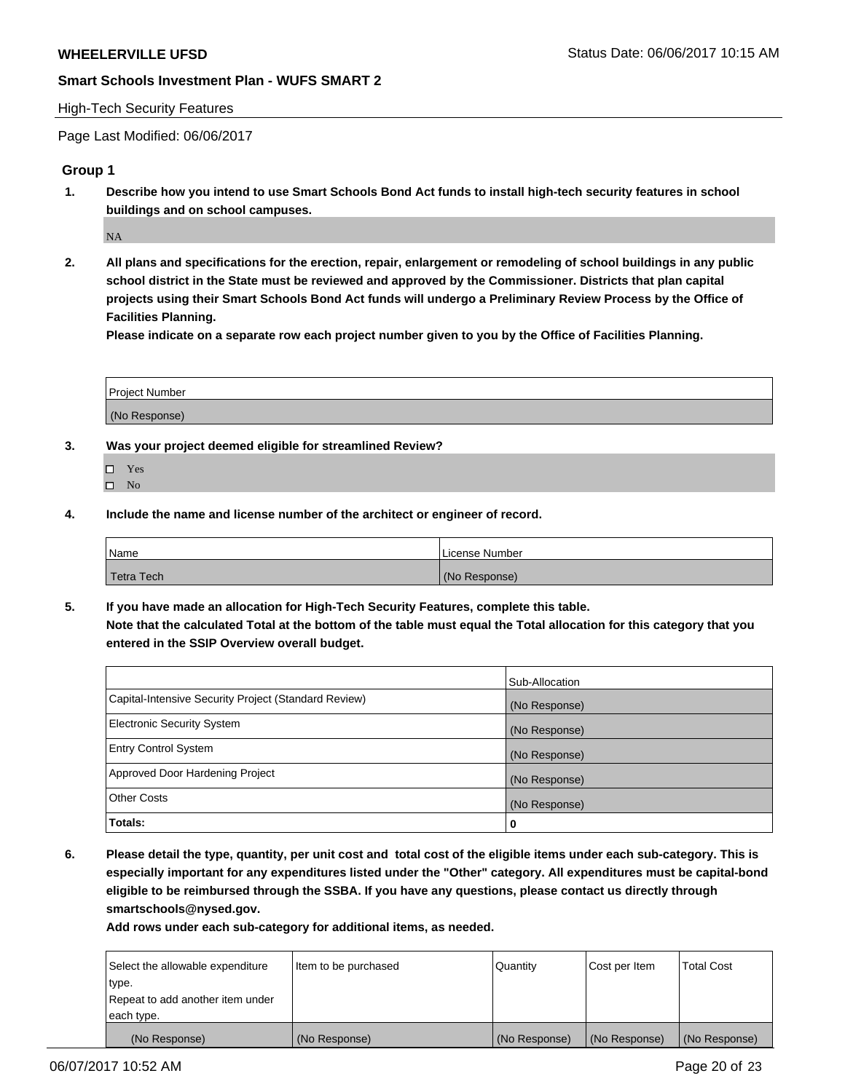#### High-Tech Security Features

Page Last Modified: 06/06/2017

### **Group 1**

**1. Describe how you intend to use Smart Schools Bond Act funds to install high-tech security features in school buildings and on school campuses.**

NA

**2. All plans and specifications for the erection, repair, enlargement or remodeling of school buildings in any public school district in the State must be reviewed and approved by the Commissioner. Districts that plan capital projects using their Smart Schools Bond Act funds will undergo a Preliminary Review Process by the Office of Facilities Planning.** 

**Please indicate on a separate row each project number given to you by the Office of Facilities Planning.**

| Project Number |  |
|----------------|--|
|                |  |
|                |  |
|                |  |
| (No Response)  |  |
|                |  |

- **3. Was your project deemed eligible for streamlined Review?**
	- Yes  $\hfill \square$  No
- **4. Include the name and license number of the architect or engineer of record.**

| <b>Name</b> | License Number |
|-------------|----------------|
| Tetra Tech  | (No Response)  |

**5. If you have made an allocation for High-Tech Security Features, complete this table. Note that the calculated Total at the bottom of the table must equal the Total allocation for this category that you entered in the SSIP Overview overall budget.**

|                                                      | Sub-Allocation |
|------------------------------------------------------|----------------|
| Capital-Intensive Security Project (Standard Review) | (No Response)  |
| Electronic Security System                           | (No Response)  |
| <b>Entry Control System</b>                          | (No Response)  |
| Approved Door Hardening Project                      | (No Response)  |
| <b>Other Costs</b>                                   | (No Response)  |
| Totals:                                              | 0              |

**6. Please detail the type, quantity, per unit cost and total cost of the eligible items under each sub-category. This is especially important for any expenditures listed under the "Other" category. All expenditures must be capital-bond eligible to be reimbursed through the SSBA. If you have any questions, please contact us directly through smartschools@nysed.gov.**

| (No Response)                    | (No Response)        | (No Response) | (No Response) | (No Response)     |
|----------------------------------|----------------------|---------------|---------------|-------------------|
| each type.                       |                      |               |               |                   |
| Repeat to add another item under |                      |               |               |                   |
| type.                            |                      |               |               |                   |
| Select the allowable expenditure | Item to be purchased | Quantity      | Cost per Item | <b>Total Cost</b> |
|                                  |                      |               |               |                   |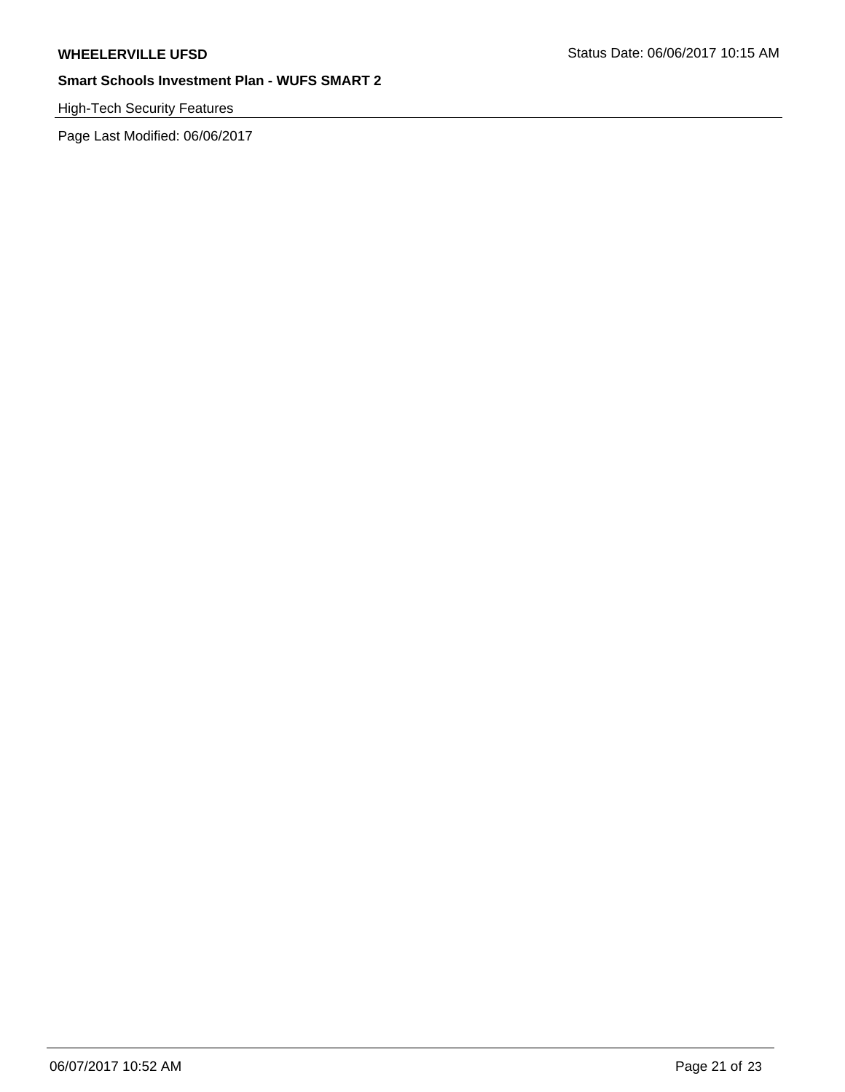# High-Tech Security Features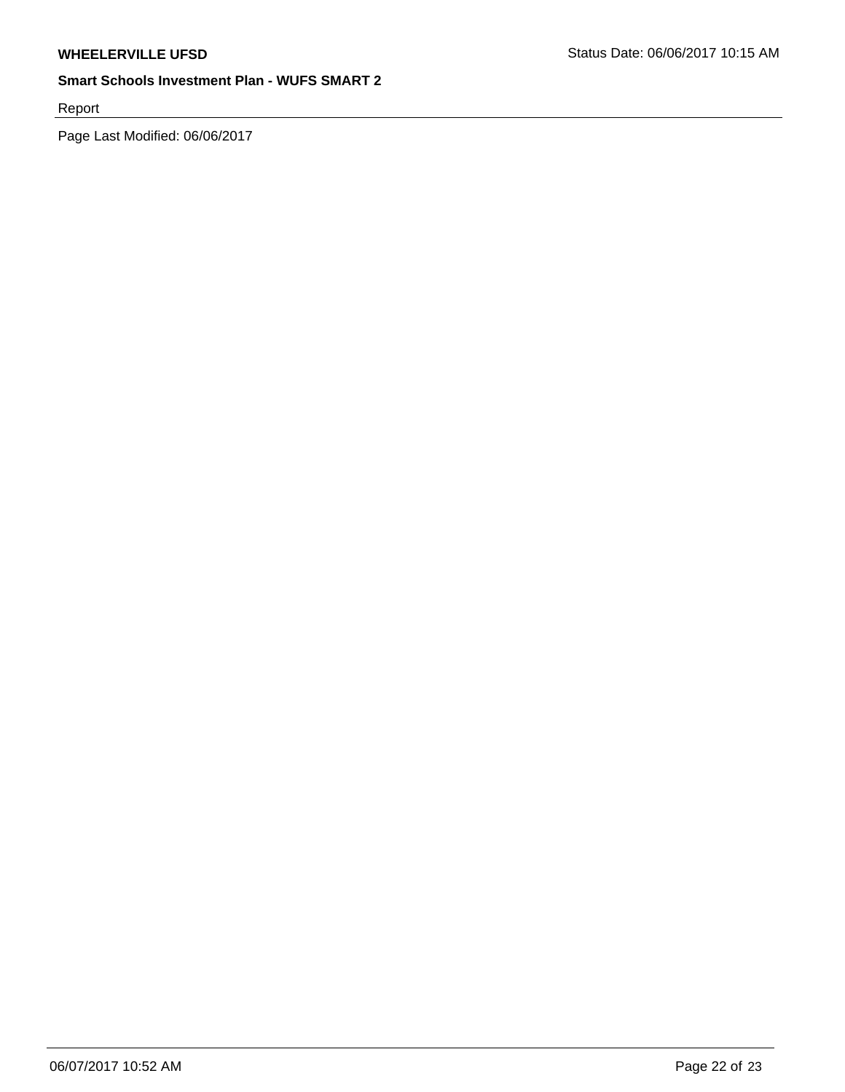Report